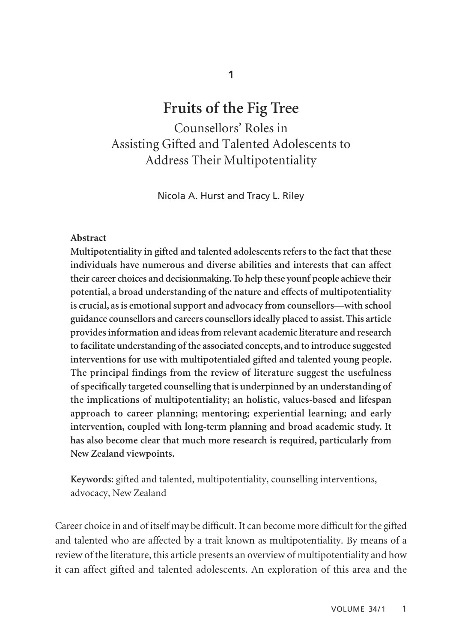# **Fruits of the Fig Tree**

Counsellors' Roles in Assisting Gifted and Talented Adolescents to Address Their Multipotentiality

Nicola A. Hurst and Tracy L. Riley

## **Abstract**

**Multipotentiality in gifted and talented adolescents refers to the fact that these individuals have numerous and diverse abilities and interests that can affect their career choices and decisionmaking. To help these younf people achieve their potential, a broad understanding of the nature and effects of multipotentiality is crucial, as is emotional support and advocacy from counsellors—with school guidance counsellors and careers counsellors ideally placed to assist. This article provides information and ideas from relevant academic literature and research to facilitate understanding of the associated concepts, and to introduce suggested interventions for use with multipotentialed gifted and talented young people. The principal findings from the review of literature suggest the usefulness of specifically targeted counselling that is underpinned by an understanding of the implications of multipotentiality; an holistic, values-based and lifespan approach to career planning; mentoring; experiential learning; and early intervention, coupled with long-term planning and broad academic study. It has also become clear that much more research is required, particularly from New Zealand viewpoints.**

**Keywords:** gifted and talented, multipotentiality, counselling interventions, advocacy, New Zealand

Career choice in and of itself may be difficult. It can become more difficult for the gifted and talented who are affected by a trait known as multipotentiality. By means of a review of the literature, this article presents an overview of multipotentiality and how it can affect gifted and talented adolescents. An exploration of this area and the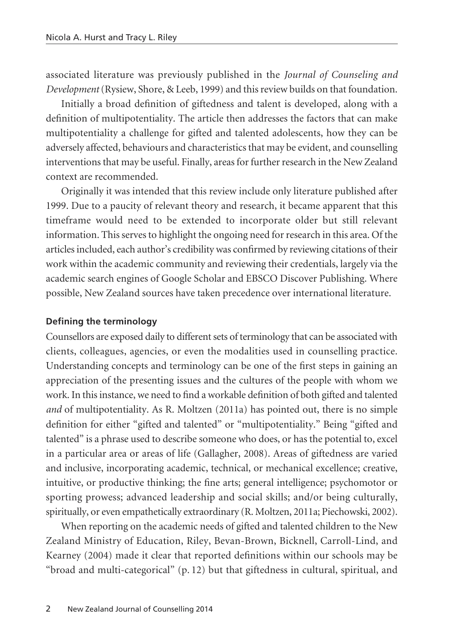associated literature was previously published in the *Journal of Counseling and Development*(Rysiew, Shore, & Leeb, 1999) and this review builds on that foundation.

Initially a broad definition of giftedness and talent is developed, along with a definition of multipotentiality. The article then addresses the factors that can make multipotentiality a challenge for gifted and talented adolescents, how they can be adversely affected, behaviours and characteristics that may be evident, and counselling interventions that may be useful. Finally, areas for further research in the New Zealand context are recommended.

Originally it was intended that this review include only literature published after 1999. Due to a paucity of relevant theory and research, it became apparent that this timeframe would need to be extended to incorporate older but still relevant information. This serves to highlight the ongoing need for research in this area. Of the articles included, each author's credibility was confirmed by reviewing citations of their work within the academic community and reviewing their credentials, largely via the academic search engines of Google Scholar and EBSCO Discover Publishing. Where possible, New Zealand sources have taken precedence over international literature.

#### **Defining the terminology**

Counsellors are exposed daily to different sets of terminology that can be associated with clients, colleagues, agencies, or even the modalities used in counselling practice. Understanding concepts and terminology can be one of the first steps in gaining an appreciation of the presenting issues and the cultures of the people with whom we work. In this instance, we need to find a workable definition of both gifted and talented *and* of multipotentiality. As R. Moltzen (2011a) has pointed out, there is no simple definition for either "gifted and talented" or "multipotentiality." Being "gifted and talented" is a phrase used to describe someone who does, or has the potential to, excel in a particular area or areas of life (Gallagher, 2008). Areas of giftedness are varied and inclusive, incorporating academic, technical, or mechanical excellence; creative, intuitive, or productive thinking; the fine arts; general intelligence; psychomotor or sporting prowess; advanced leadership and social skills; and/or being culturally, spiritually, or even empathetically extraordinary (R. Moltzen, 2011a; Piechowski, 2002).

When reporting on the academic needs of gifted and talented children to the New Zealand Ministry of Education, Riley, Bevan-Brown, Bicknell, Carroll-Lind, and Kearney (2004) made it clear that reported definitions within our schools may be "broad and multi-categorical" (p. 12) but that giftedness in cultural, spiritual, and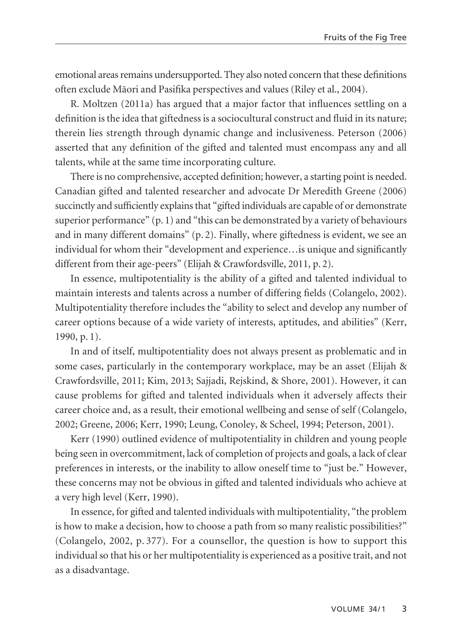emotional areas remains undersupported. They also noted concern that these definitions often exclude Mäori and Pasifika perspectives and values (Riley et al., 2004).

R. Moltzen (2011a) has argued that a major factor that influences settling on a definition is the idea that giftedness is a sociocultural construct and fluid in its nature; therein lies strength through dynamic change and inclusiveness. Peterson (2006) asserted that any definition of the gifted and talented must encompass any and all talents, while at the same time incorporating culture.

There is no comprehensive, accepted definition; however, a starting point is needed. Canadian gifted and talented researcher and advocate Dr Meredith Greene (2006) succinctly and sufficiently explains that "gifted individuals are capable of or demonstrate superior performance"  $(p, 1)$  and "this can be demonstrated by a variety of behaviours and in many different domains" (p. 2). Finally, where giftedness is evident, we see an individual for whom their "development and experience…is unique and significantly different from their age-peers" (Elijah & Crawfordsville, 2011, p. 2).

In essence, multipotentiality is the ability of a gifted and talented individual to maintain interests and talents across a number of differing fields (Colangelo, 2002). Multipotentiality therefore includes the "ability to select and develop any number of career options because of a wide variety of interests, aptitudes, and abilities" (Kerr, 1990, p. 1).

In and of itself, multipotentiality does not always present as problematic and in some cases, particularly in the contemporary workplace, may be an asset (Elijah & Crawfordsville, 2011; Kim, 2013; Sajjadi, Rejskind, & Shore, 2001). However, it can cause problems for gifted and talented individuals when it adversely affects their career choice and, as a result, their emotional wellbeing and sense of self (Colangelo, 2002; Greene, 2006; Kerr, 1990; Leung, Conoley, & Scheel, 1994; Peterson, 2001).

Kerr (1990) outlined evidence of multipotentiality in children and young people being seen in overcommitment, lack of completion of projects and goals, a lack of clear preferences in interests, or the inability to allow oneself time to "just be." However, these concerns may not be obvious in gifted and talented individuals who achieve at a very high level (Kerr, 1990).

In essence, for gifted and talented individuals with multipotentiality, "the problem is how to make a decision, how to choose a path from so many realistic possibilities?" (Colangelo, 2002, p. 377). For a counsellor, the question is how to support this individual so that his or her multipotentiality is experienced as a positive trait, and not as a disadvantage.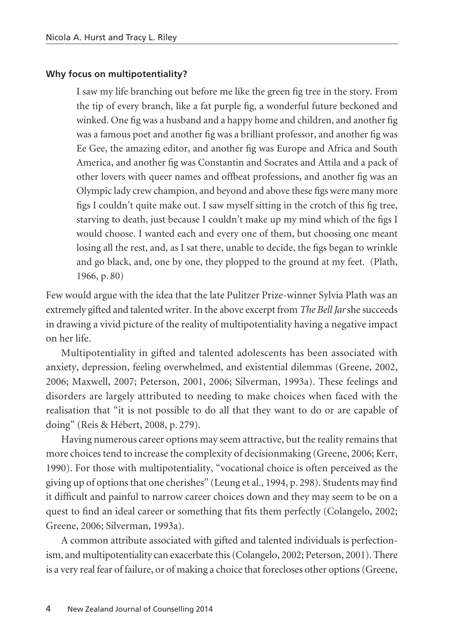## **Why focus on multipotentiality?**

I saw my life branching out before me like the green fig tree in the story. From the tip of every branch, like a fat purple fig, a wonderful future beckoned and winked. One fig was a husband and a happy home and children, and another fig was a famous poet and another fig was a brilliant professor, and another fig was Ee Gee, the amazing editor, and another fig was Europe and Africa and South America, and another fig was Constantin and Socrates and Attila and a pack of other lovers with queer names and offbeat professions, and another fig was an Olympic lady crew champion, and beyond and above these figs were many more figs I couldn't quite make out. I saw myself sitting in the crotch of this fig tree, starving to death, just because I couldn't make up my mind which of the figs I would choose. I wanted each and every one of them, but choosing one meant losing all the rest, and, as I sat there, unable to decide, the figs began to wrinkle and go black, and, one by one, they plopped to the ground at my feet. (Plath, 1966, p. 80)

Few would argue with the idea that the late Pulitzer Prize-winner Sylvia Plath was an extremely gifted and talented writer. In the above excerpt from *The Bell Jar*she succeeds in drawing a vivid picture of the reality of multipotentiality having a negative impact on her life.

Multipotentiality in gifted and talented adolescents has been associated with anxiety, depression, feeling overwhelmed, and existential dilemmas (Greene, 2002, 2006; Maxwell, 2007; Peterson, 2001, 2006; Silverman, 1993a). These feelings and disorders are largely attributed to needing to make choices when faced with the realisation that "it is not possible to do all that they want to do or are capable of doing" (Reis & Hébert, 2008, p. 279).

Having numerous career options may seem attractive, but the reality remains that more choices tend to increase the complexity of decisionmaking (Greene, 2006; Kerr, 1990). For those with multipotentiality, "vocational choice is often perceived as the giving up of options that one cherishes" (Leung et al., 1994, p. 298). Students may find it difficult and painful to narrow career choices down and they may seem to be on a quest to find an ideal career or something that fits them perfectly (Colangelo, 2002; Greene, 2006; Silverman, 1993a).

A common attribute associated with gifted and talented individuals is perfectionism, and multipotentiality can exacerbate this (Colangelo, 2002; Peterson, 2001). There is a very real fear of failure, or of making a choice that forecloses other options (Greene,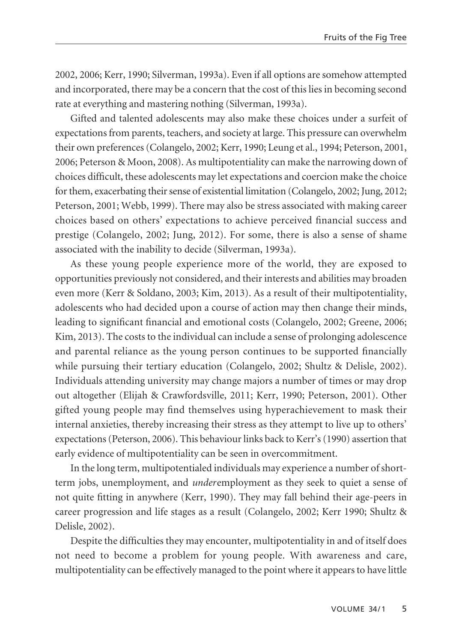2002, 2006; Kerr, 1990; Silverman, 1993a). Even if all options are somehow attempted and incorporated, there may be a concern that the cost of this lies in becoming second rate at everything and mastering nothing (Silverman, 1993a).

Gifted and talented adolescents may also make these choices under a surfeit of expectations from parents, teachers, and society at large. This pressure can overwhelm their own preferences (Colangelo, 2002; Kerr, 1990; Leung et al., 1994; Peterson, 2001, 2006; Peterson & Moon, 2008). As multipotentiality can make the narrowing down of choices difficult, these adolescents may let expectations and coercion make the choice for them, exacerbating their sense of existential limitation (Colangelo, 2002; Jung, 2012; Peterson, 2001; Webb, 1999). There may also be stress associated with making career choices based on others' expectations to achieve perceived financial success and prestige (Colangelo, 2002; Jung, 2012). For some, there is also a sense of shame associated with the inability to decide (Silverman, 1993a).

As these young people experience more of the world, they are exposed to opportunities previously not considered, and their interests and abilities may broaden even more (Kerr & Soldano, 2003; Kim, 2013). As a result of their multipotentiality, adolescents who had decided upon a course of action may then change their minds, leading to significant financial and emotional costs (Colangelo, 2002; Greene, 2006; Kim, 2013). The costs to the individual can include a sense of prolonging adolescence and parental reliance as the young person continues to be supported financially while pursuing their tertiary education (Colangelo, 2002; Shultz & Delisle, 2002). Individuals attending university may change majors a number of times or may drop out altogether (Elijah & Crawfordsville, 2011; Kerr, 1990; Peterson, 2001). Other gifted young people may find themselves using hyperachievement to mask their internal anxieties, thereby increasing their stress as they attempt to live up to others' expectations (Peterson, 2006). This behaviour links back to Kerr's (1990) assertion that early evidence of multipotentiality can be seen in overcommitment.

In the long term, multipotentialed individuals may experience a number of shortterm jobs, unemployment, and *under*employment as they seek to quiet a sense of not quite fitting in anywhere (Kerr, 1990). They may fall behind their age-peers in career progression and life stages as a result (Colangelo, 2002; Kerr 1990; Shultz & Delisle, 2002).

Despite the difficulties they may encounter, multipotentiality in and of itself does not need to become a problem for young people. With awareness and care, multipotentiality can be effectively managed to the point where it appears to have little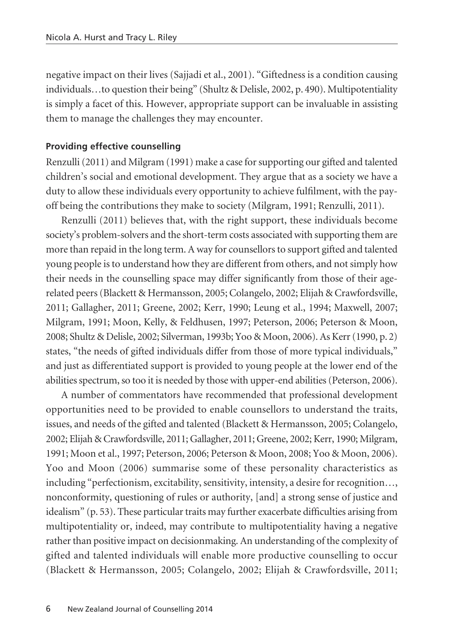negative impact on their lives (Sajjadi et al., 2001). "Giftedness is a condition causing individuals…to question their being" (Shultz & Delisle, 2002, p. 490). Multipotentiality is simply a facet of this. However, appropriate support can be invaluable in assisting them to manage the challenges they may encounter.

#### **Providing effective counselling**

Renzulli (2011) and Milgram (1991) make a case for supporting our gifted and talented children's social and emotional development. They argue that as a society we have a duty to allow these individuals every opportunity to achieve fulfilment, with the payoff being the contributions they make to society (Milgram, 1991; Renzulli, 2011).

Renzulli (2011) believes that, with the right support, these individuals become society's problem-solvers and the short-term costs associated with supporting them are more than repaid in the long term. A way for counsellors to support gifted and talented young people is to understand how they are different from others, and not simply how their needs in the counselling space may differ significantly from those of their agerelated peers (Blackett & Hermansson, 2005; Colangelo, 2002; Elijah & Crawfordsville, 2011; Gallagher, 2011; Greene, 2002; Kerr, 1990; Leung et al., 1994; Maxwell, 2007; Milgram, 1991; Moon, Kelly, & Feldhusen, 1997; Peterson, 2006; Peterson & Moon, 2008; Shultz & Delisle, 2002; Silverman, 1993b; Yoo & Moon, 2006). As Kerr (1990, p. 2) states, "the needs of gifted individuals differ from those of more typical individuals," and just as differentiated support is provided to young people at the lower end of the abilities spectrum, so too it is needed by those with upper-end abilities (Peterson, 2006).

A number of commentators have recommended that professional development opportunities need to be provided to enable counsellors to understand the traits, issues, and needs of the gifted and talented (Blackett & Hermansson, 2005; Colangelo, 2002; Elijah & Crawfordsville, 2011; Gallagher, 2011; Greene, 2002; Kerr, 1990; Milgram, 1991; Moon et al., 1997; Peterson, 2006; Peterson & Moon, 2008; Yoo & Moon, 2006). Yoo and Moon (2006) summarise some of these personality characteristics as including "perfectionism, excitability, sensitivity, intensity, a desire for recognition…, nonconformity, questioning of rules or authority, [and] a strong sense of justice and idealism" (p. 53). These particular traits may further exacerbate difficulties arising from multipotentiality or, indeed, may contribute to multipotentiality having a negative rather than positive impact on decisionmaking. An understanding of the complexity of gifted and talented individuals will enable more productive counselling to occur (Blackett & Hermansson, 2005; Colangelo, 2002; Elijah & Crawfordsville, 2011;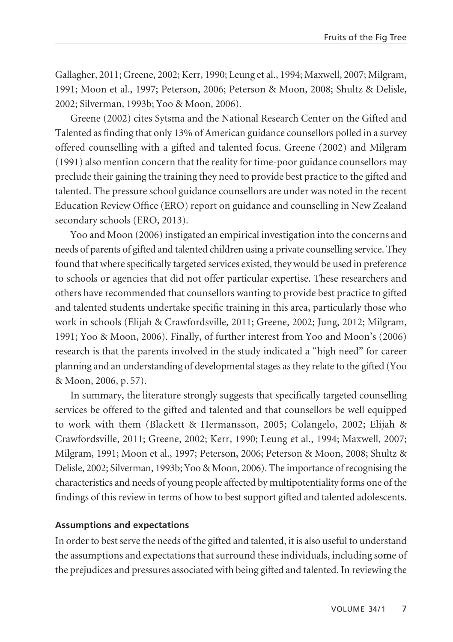Gallagher, 2011; Greene, 2002; Kerr, 1990; Leung et al., 1994; Maxwell, 2007; Milgram, 1991; Moon et al., 1997; Peterson, 2006; Peterson & Moon, 2008; Shultz & Delisle, 2002; Silverman, 1993b; Yoo & Moon, 2006).

Greene (2002) cites Sytsma and the National Research Center on the Gifted and Talented as finding that only 13% of American guidance counsellors polled in a survey offered counselling with a gifted and talented focus. Greene (2002) and Milgram (1991) also mention concern that the reality for time-poor guidance counsellors may preclude their gaining the training they need to provide best practice to the gifted and talented. The pressure school guidance counsellors are under was noted in the recent Education Review Office (ERO) report on guidance and counselling in New Zealand secondary schools (ERO, 2013).

Yoo and Moon (2006) instigated an empirical investigation into the concerns and needs of parents of gifted and talented children using a private counselling service. They found that where specifically targeted services existed, they would be used in preference to schools or agencies that did not offer particular expertise. These researchers and others have recommended that counsellors wanting to provide best practice to gifted and talented students undertake specific training in this area, particularly those who work in schools (Elijah & Crawfordsville, 2011; Greene, 2002; Jung, 2012; Milgram, 1991; Yoo & Moon, 2006). Finally, of further interest from Yoo and Moon's (2006) research is that the parents involved in the study indicated a "high need" for career planning and an understanding of developmental stages as they relate to the gifted (Yoo & Moon, 2006, p. 57).

In summary, the literature strongly suggests that specifically targeted counselling services be offered to the gifted and talented and that counsellors be well equipped to work with them (Blackett & Hermansson, 2005; Colangelo, 2002; Elijah & Crawfordsville, 2011; Greene, 2002; Kerr, 1990; Leung et al., 1994; Maxwell, 2007; Milgram, 1991; Moon et al., 1997; Peterson, 2006; Peterson & Moon, 2008; Shultz & Delisle, 2002; Silverman, 1993b; Yoo & Moon, 2006). The importance of recognising the characteristics and needs of young people affected by multipotentiality forms one of the findings of this review in terms of how to best support gifted and talented adolescents.

#### **Assumptions and expectations**

In order to best serve the needs of the gifted and talented, it is also useful to understand the assumptions and expectations that surround these individuals, including some of the prejudices and pressures associated with being gifted and talented. In reviewing the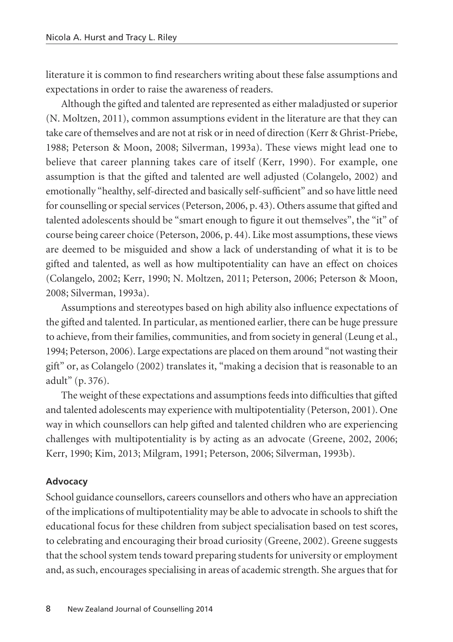literature it is common to find researchers writing about these false assumptions and expectations in order to raise the awareness of readers.

Although the gifted and talented are represented as either maladjusted or superior (N. Moltzen, 2011), common assumptions evident in the literature are that they can take care of themselves and are not at risk or in need of direction (Kerr & Ghrist-Priebe, 1988; Peterson & Moon, 2008; Silverman, 1993a). These views might lead one to believe that career planning takes care of itself (Kerr, 1990). For example, one assumption is that the gifted and talented are well adjusted (Colangelo, 2002) and emotionally "healthy, self-directed and basically self-sufficient" and so have little need for counselling or special services (Peterson, 2006, p. 43). Others assume that gifted and talented adolescents should be "smart enough to figure it out themselves", the "it" of course being career choice (Peterson, 2006, p. 44). Like most assumptions, these views are deemed to be misguided and show a lack of understanding of what it is to be gifted and talented, as well as how multipotentiality can have an effect on choices (Colangelo, 2002; Kerr, 1990; N. Moltzen, 2011; Peterson, 2006; Peterson & Moon, 2008; Silverman, 1993a).

Assumptions and stereotypes based on high ability also influence expectations of the gifted and talented. In particular, as mentioned earlier, there can be huge pressure to achieve, from their families, communities, and from society in general (Leung et al., 1994; Peterson, 2006). Large expectations are placed on them around "not wasting their gift" or, as Colangelo (2002) translates it, "making a decision that is reasonable to an adult" (p. 376).

The weight of these expectations and assumptions feeds into difficulties that gifted and talented adolescents may experience with multipotentiality (Peterson, 2001). One way in which counsellors can help gifted and talented children who are experiencing challenges with multipotentiality is by acting as an advocate (Greene, 2002, 2006; Kerr, 1990; Kim, 2013; Milgram, 1991; Peterson, 2006; Silverman, 1993b).

#### **Advocacy**

School guidance counsellors, careers counsellors and others who have an appreciation of the implications of multipotentiality may be able to advocate in schools to shift the educational focus for these children from subject specialisation based on test scores, to celebrating and encouraging their broad curiosity (Greene, 2002). Greene suggests that the school system tends toward preparing students for university or employment and, as such, encourages specialising in areas of academic strength. She argues that for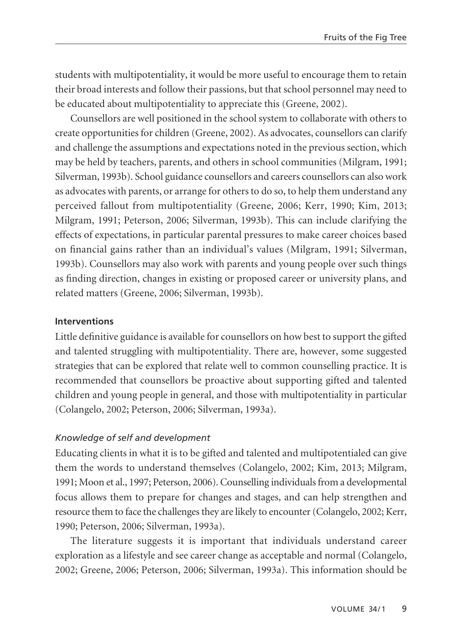students with multipotentiality, it would be more useful to encourage them to retain their broad interests and follow their passions, but that school personnel may need to be educated about multipotentiality to appreciate this (Greene, 2002).

Counsellors are well positioned in the school system to collaborate with others to create opportunities for children (Greene, 2002). As advocates, counsellors can clarify and challenge the assumptions and expectations noted in the previous section, which may be held by teachers, parents, and others in school communities (Milgram, 1991; Silverman, 1993b). School guidance counsellors and careers counsellors can also work as advocates with parents, or arrange for others to do so, to help them understand any perceived fallout from multipotentiality (Greene, 2006; Kerr, 1990; Kim, 2013; Milgram, 1991; Peterson, 2006; Silverman, 1993b). This can include clarifying the effects of expectations, in particular parental pressures to make career choices based on financial gains rather than an individual's values (Milgram, 1991; Silverman, 1993b). Counsellors may also work with parents and young people over such things as finding direction, changes in existing or proposed career or university plans, and related matters (Greene, 2006; Silverman, 1993b).

## **Interventions**

Little definitive guidance is available for counsellors on how best to support the gifted and talented struggling with multipotentiality. There are, however, some suggested strategies that can be explored that relate well to common counselling practice. It is recommended that counsellors be proactive about supporting gifted and talented children and young people in general, and those with multipotentiality in particular (Colangelo, 2002; Peterson, 2006; Silverman, 1993a).

# *Knowledge of self and development*

Educating clients in what it is to be gifted and talented and multipotentialed can give them the words to understand themselves (Colangelo, 2002; Kim, 2013; Milgram, 1991; Moon et al., 1997; Peterson, 2006). Counselling individuals from a developmental focus allows them to prepare for changes and stages, and can help strengthen and resource them to face the challenges they are likely to encounter (Colangelo, 2002; Kerr, 1990; Peterson, 2006; Silverman, 1993a).

The literature suggests it is important that individuals understand career exploration as a lifestyle and see career change as acceptable and normal (Colangelo, 2002; Greene, 2006; Peterson, 2006; Silverman, 1993a). This information should be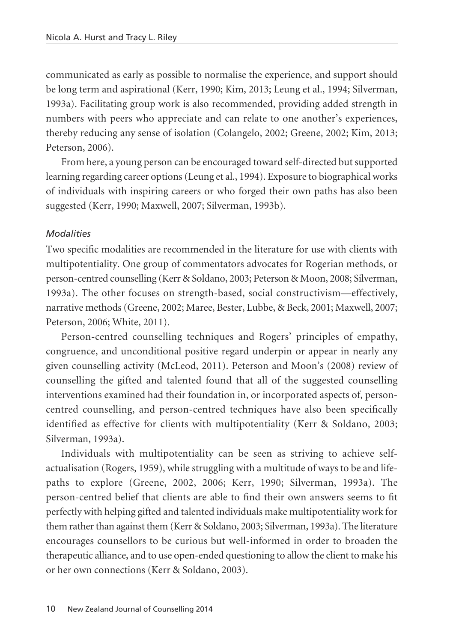communicated as early as possible to normalise the experience, and support should be long term and aspirational (Kerr, 1990; Kim, 2013; Leung et al., 1994; Silverman, 1993a). Facilitating group work is also recommended, providing added strength in numbers with peers who appreciate and can relate to one another's experiences, thereby reducing any sense of isolation (Colangelo, 2002; Greene, 2002; Kim, 2013; Peterson, 2006).

From here, a young person can be encouraged toward self-directed but supported learning regarding career options (Leung et al., 1994). Exposure to biographical works of individuals with inspiring careers or who forged their own paths has also been suggested (Kerr, 1990; Maxwell, 2007; Silverman, 1993b).

## *Modalities*

Two specific modalities are recommended in the literature for use with clients with multipotentiality. One group of commentators advocates for Rogerian methods, or person-centred counselling (Kerr & Soldano, 2003; Peterson & Moon, 2008; Silverman, 1993a). The other focuses on strength-based, social constructivism—effectively, narrative methods (Greene, 2002; Maree, Bester, Lubbe, & Beck, 2001; Maxwell, 2007; Peterson, 2006; White, 2011).

Person-centred counselling techniques and Rogers' principles of empathy, congruence, and unconditional positive regard underpin or appear in nearly any given counselling activity (McLeod, 2011). Peterson and Moon's (2008) review of counselling the gifted and talented found that all of the suggested counselling interventions examined had their foundation in, or incorporated aspects of, personcentred counselling, and person-centred techniques have also been specifically identified as effective for clients with multipotentiality (Kerr & Soldano, 2003; Silverman, 1993a).

Individuals with multipotentiality can be seen as striving to achieve selfactualisation (Rogers, 1959), while struggling with a multitude of ways to be and lifepaths to explore (Greene, 2002, 2006; Kerr, 1990; Silverman, 1993a). The person-centred belief that clients are able to find their own answers seems to fit perfectly with helping gifted and talented individuals make multipotentiality work for them rather than against them (Kerr & Soldano, 2003; Silverman, 1993a). The literature encourages counsellors to be curious but well-informed in order to broaden the therapeutic alliance, and to use open-ended questioning to allow the client to make his or her own connections (Kerr & Soldano, 2003).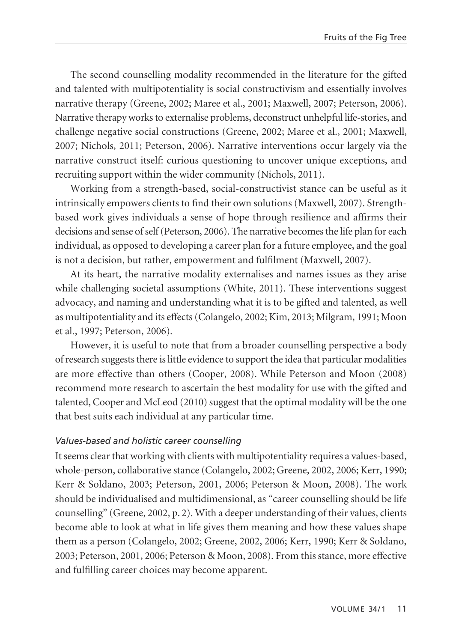The second counselling modality recommended in the literature for the gifted and talented with multipotentiality is social constructivism and essentially involves narrative therapy (Greene, 2002; Maree et al., 2001; Maxwell, 2007; Peterson, 2006). Narrative therapy works to externalise problems, deconstruct unhelpful life-stories, and challenge negative social constructions (Greene, 2002; Maree et al., 2001; Maxwell*,* 2007; Nichols, 2011; Peterson, 2006). Narrative interventions occur largely via the narrative construct itself: curious questioning to uncover unique exceptions, and recruiting support within the wider community (Nichols, 2011).

Working from a strength-based, social-constructivist stance can be useful as it intrinsically empowers clients to find their own solutions (Maxwell, 2007). Strengthbased work gives individuals a sense of hope through resilience and affirms their decisions and sense of self (Peterson, 2006). The narrative becomes the life plan for each individual, as opposed to developing a career plan for a future employee, and the goal is not a decision, but rather, empowerment and fulfilment (Maxwell, 2007).

At its heart, the narrative modality externalises and names issues as they arise while challenging societal assumptions (White, 2011). These interventions suggest advocacy, and naming and understanding what it is to be gifted and talented, as well as multipotentiality and its effects (Colangelo, 2002; Kim, 2013; Milgram, 1991; Moon et al., 1997; Peterson, 2006).

However, it is useful to note that from a broader counselling perspective a body of research suggests there is little evidence to support the idea that particular modalities are more effective than others (Cooper, 2008). While Peterson and Moon (2008) recommend more research to ascertain the best modality for use with the gifted and talented, Cooper and McLeod (2010) suggest that the optimal modality will be the one that best suits each individual at any particular time.

# *Values-based and holistic career counselling*

It seems clear that working with clients with multipotentiality requires a values-based, whole-person, collaborative stance (Colangelo, 2002; Greene, 2002, 2006; Kerr, 1990; Kerr & Soldano, 2003; Peterson, 2001, 2006; Peterson & Moon, 2008). The work should be individualised and multidimensional, as "career counselling should be life counselling" (Greene, 2002, p. 2). With a deeper understanding of their values, clients become able to look at what in life gives them meaning and how these values shape them as a person (Colangelo, 2002; Greene, 2002, 2006; Kerr, 1990; Kerr & Soldano, 2003; Peterson, 2001, 2006; Peterson & Moon, 2008). From this stance, more effective and fulfilling career choices may become apparent.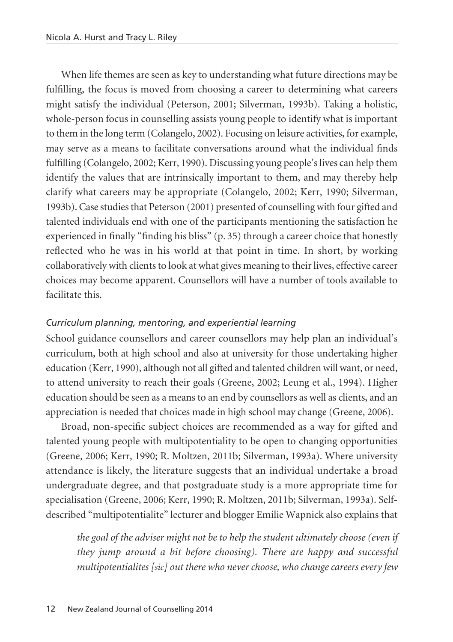When life themes are seen as key to understanding what future directions may be fulfilling, the focus is moved from choosing a career to determining what careers might satisfy the individual (Peterson, 2001; Silverman, 1993b). Taking a holistic, whole-person focus in counselling assists young people to identify what is important to them in the long term (Colangelo, 2002). Focusing on leisure activities, for example, may serve as a means to facilitate conversations around what the individual finds fulfilling (Colangelo, 2002; Kerr, 1990). Discussing young people's lives can help them identify the values that are intrinsically important to them, and may thereby help clarify what careers may be appropriate (Colangelo, 2002; Kerr, 1990; Silverman, 1993b). Case studies that Peterson (2001) presented of counselling with four gifted and talented individuals end with one of the participants mentioning the satisfaction he experienced in finally "finding his bliss" (p. 35) through a career choice that honestly reflected who he was in his world at that point in time. In short, by working collaboratively with clients to look at what gives meaning to their lives, effective career choices may become apparent. Counsellors will have a number of tools available to facilitate this.

# *Curriculum planning, mentoring, and experiential learning*

School guidance counsellors and career counsellors may help plan an individual's curriculum, both at high school and also at university for those undertaking higher education (Kerr, 1990), although not all gifted and talented children will want, or need, to attend university to reach their goals (Greene, 2002; Leung et al., 1994). Higher education should be seen as a means to an end by counsellors as well as clients, and an appreciation is needed that choices made in high school may change (Greene, 2006).

Broad, non-specific subject choices are recommended as a way for gifted and talented young people with multipotentiality to be open to changing opportunities (Greene, 2006; Kerr, 1990; R. Moltzen, 2011b; Silverman, 1993a). Where university attendance is likely, the literature suggests that an individual undertake a broad undergraduate degree, and that postgraduate study is a more appropriate time for specialisation (Greene, 2006; Kerr, 1990; R. Moltzen, 2011b; Silverman, 1993a). Selfdescribed "multipotentialite" lecturer and blogger Emilie Wapnick also explains that

*the goal of the adviser might not be to help the student ultimately choose (even if they jump around a bit before choosing). There are happy and successful multipotentialites [sic] out there who never choose, who change careers every few*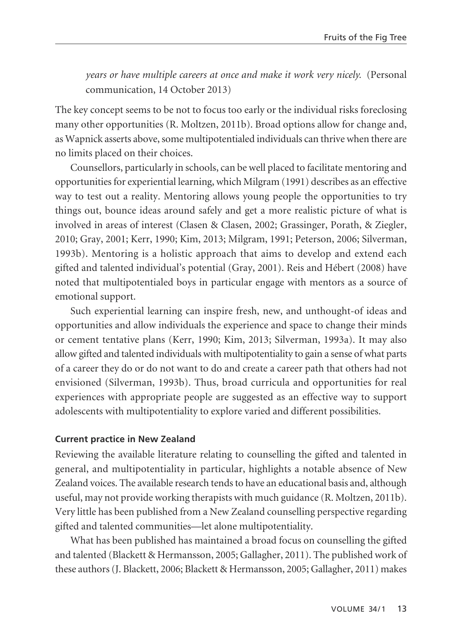*years or have multiple careers at once and make it work very nicely.* (Personal communication, 14 October 2013)

The key concept seems to be not to focus too early or the individual risks foreclosing many other opportunities (R. Moltzen, 2011b). Broad options allow for change and, as Wapnick asserts above, some multipotentialed individuals can thrive when there are no limits placed on their choices.

Counsellors, particularly in schools, can be well placed to facilitate mentoring and opportunities for experiential learning, which Milgram (1991) describes as an effective way to test out a reality. Mentoring allows young people the opportunities to try things out, bounce ideas around safely and get a more realistic picture of what is involved in areas of interest (Clasen & Clasen, 2002; Grassinger, Porath, & Ziegler, 2010; Gray, 2001; Kerr, 1990; Kim, 2013; Milgram, 1991; Peterson, 2006; Silverman, 1993b). Mentoring is a holistic approach that aims to develop and extend each gifted and talented individual's potential (Gray, 2001). Reis and Hébert (2008) have noted that multipotentialed boys in particular engage with mentors as a source of emotional support.

Such experiential learning can inspire fresh, new, and unthought-of ideas and opportunities and allow individuals the experience and space to change their minds or cement tentative plans (Kerr, 1990; Kim, 2013; Silverman, 1993a). It may also allow gifted and talented individuals with multipotentiality to gain a sense of what parts of a career they do or do not want to do and create a career path that others had not envisioned (Silverman, 1993b). Thus, broad curricula and opportunities for real experiences with appropriate people are suggested as an effective way to support adolescents with multipotentiality to explore varied and different possibilities.

## **Current practice in New Zealand**

Reviewing the available literature relating to counselling the gifted and talented in general, and multipotentiality in particular, highlights a notable absence of New Zealand voices. The available research tends to have an educational basis and, although useful, may not provide working therapists with much guidance (R. Moltzen, 2011b). Very little has been published from a New Zealand counselling perspective regarding gifted and talented communities—let alone multipotentiality.

What has been published has maintained a broad focus on counselling the gifted and talented (Blackett & Hermansson, 2005; Gallagher, 2011). The published work of these authors (J. Blackett, 2006; Blackett & Hermansson, 2005; Gallagher, 2011) makes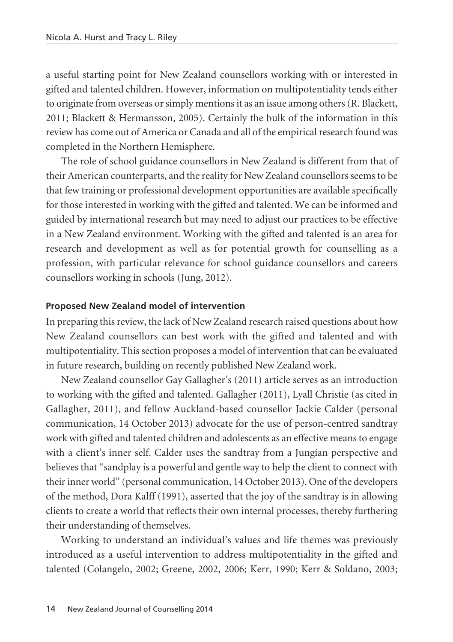a useful starting point for New Zealand counsellors working with or interested in gifted and talented children. However, information on multipotentiality tends either to originate from overseas or simply mentions it as an issue among others (R. Blackett, 2011; Blackett & Hermansson, 2005). Certainly the bulk of the information in this review has come out of America or Canada and all of the empirical research found was completed in the Northern Hemisphere.

The role of school guidance counsellors in New Zealand is different from that of their American counterparts, and the reality for New Zealand counsellors seems to be that few training or professional development opportunities are available specifically for those interested in working with the gifted and talented. We can be informed and guided by international research but may need to adjust our practices to be effective in a New Zealand environment. Working with the gifted and talented is an area for research and development as well as for potential growth for counselling as a profession, with particular relevance for school guidance counsellors and careers counsellors working in schools (Jung, 2012).

#### **Proposed New Zealand model of intervention**

In preparing this review, the lack of New Zealand research raised questions about how New Zealand counsellors can best work with the gifted and talented and with multipotentiality. This section proposes a model of intervention that can be evaluated in future research, building on recently published New Zealand work.

New Zealand counsellor Gay Gallagher's (2011) article serves as an introduction to working with the gifted and talented. Gallagher (2011), Lyall Christie (as cited in Gallagher, 2011), and fellow Auckland-based counsellor Jackie Calder (personal communication, 14 October 2013) advocate for the use of person-centred sandtray work with gifted and talented children and adolescents as an effective means to engage with a client's inner self. Calder uses the sandtray from a Jungian perspective and believes that "sandplay is a powerful and gentle way to help the client to connect with their inner world" (personal communication, 14 October 2013). One of the developers of the method, Dora Kalff (1991), asserted that the joy of the sandtray is in allowing clients to create a world that reflects their own internal processes, thereby furthering their understanding of themselves.

Working to understand an individual's values and life themes was previously introduced as a useful intervention to address multipotentiality in the gifted and talented (Colangelo, 2002; Greene, 2002, 2006; Kerr, 1990; Kerr & Soldano, 2003;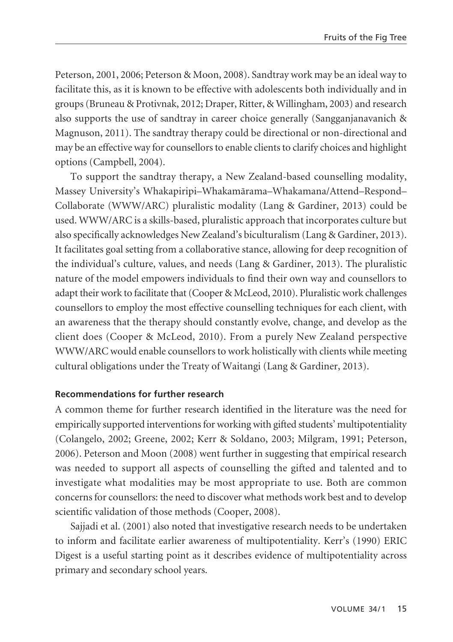Peterson, 2001, 2006; Peterson & Moon, 2008). Sandtray work may be an ideal way to facilitate this, as it is known to be effective with adolescents both individually and in groups (Bruneau & Protivnak, 2012; Draper, Ritter, & Willingham, 2003) and research also supports the use of sandtray in career choice generally (Sangganjanavanich & Magnuson, 2011). The sandtray therapy could be directional or non-directional and may be an effective way for counsellors to enable clients to clarify choices and highlight options (Campbell, 2004).

To support the sandtray therapy, a New Zealand-based counselling modality, Massey University's Whakapiripi–Whakamärama–Whakamana/Attend–Respond– Collaborate (WWW/ARC) pluralistic modality (Lang & Gardiner, 2013) could be used. WWW/ARC is a skills-based, pluralistic approach that incorporates culture but also specifically acknowledges New Zealand's biculturalism (Lang & Gardiner, 2013). It facilitates goal setting from a collaborative stance, allowing for deep recognition of the individual's culture, values, and needs (Lang & Gardiner, 2013). The pluralistic nature of the model empowers individuals to find their own way and counsellors to adapt their work to facilitate that (Cooper & McLeod, 2010). Pluralistic work challenges counsellors to employ the most effective counselling techniques for each client, with an awareness that the therapy should constantly evolve, change, and develop as the client does (Cooper & McLeod, 2010). From a purely New Zealand perspective WWW/ARC would enable counsellors to work holistically with clients while meeting cultural obligations under the Treaty of Waitangi (Lang & Gardiner, 2013).

## **Recommendations for further research**

A common theme for further research identified in the literature was the need for empirically supported interventions for working with gifted students' multipotentiality (Colangelo, 2002; Greene, 2002; Kerr & Soldano, 2003; Milgram, 1991; Peterson, 2006). Peterson and Moon (2008) went further in suggesting that empirical research was needed to support all aspects of counselling the gifted and talented and to investigate what modalities may be most appropriate to use. Both are common concerns for counsellors: the need to discover what methods work best and to develop scientific validation of those methods (Cooper, 2008).

Sajjadi et al. (2001) also noted that investigative research needs to be undertaken to inform and facilitate earlier awareness of multipotentiality. Kerr's (1990) ERIC Digest is a useful starting point as it describes evidence of multipotentiality across primary and secondary school years.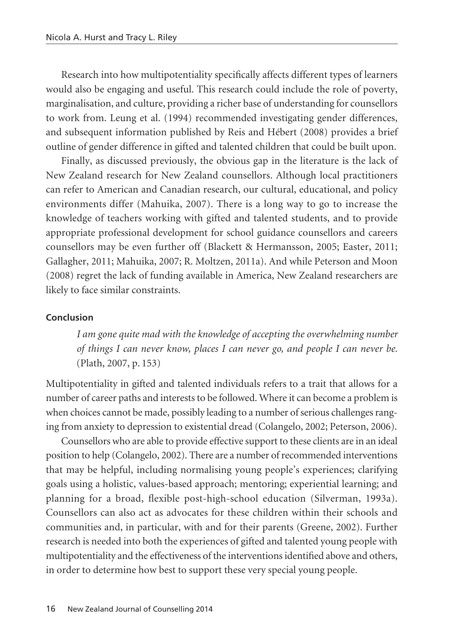Research into how multipotentiality specifically affects different types of learners would also be engaging and useful. This research could include the role of poverty, marginalisation, and culture, providing a richer base of understanding for counsellors to work from. Leung et al. (1994) recommended investigating gender differences, and subsequent information published by Reis and Hébert (2008) provides a brief outline of gender difference in gifted and talented children that could be built upon.

Finally, as discussed previously, the obvious gap in the literature is the lack of New Zealand research for New Zealand counsellors. Although local practitioners can refer to American and Canadian research, our cultural, educational, and policy environments differ (Mahuika, 2007). There is a long way to go to increase the knowledge of teachers working with gifted and talented students, and to provide appropriate professional development for school guidance counsellors and careers counsellors may be even further off (Blackett & Hermansson, 2005; Easter, 2011; Gallagher, 2011; Mahuika, 2007; R. Moltzen, 2011a). And while Peterson and Moon (2008) regret the lack of funding available in America, New Zealand researchers are likely to face similar constraints.

## **Conclusion**

*I am gone quite mad with the knowledge of accepting the overwhelming number of things I can never know, places I can never go, and people I can never be.* (Plath, 2007, p. 153)

Multipotentiality in gifted and talented individuals refers to a trait that allows for a number of career paths and interests to be followed. Where it can become a problem is when choices cannot be made, possibly leading to a number of serious challenges ranging from anxiety to depression to existential dread (Colangelo, 2002; Peterson, 2006).

Counsellors who are able to provide effective support to these clients are in an ideal position to help (Colangelo, 2002). There are a number of recommended interventions that may be helpful, including normalising young people's experiences; clarifying goals using a holistic, values-based approach; mentoring; experiential learning; and planning for a broad, flexible post-high-school education (Silverman, 1993a). Counsellors can also act as advocates for these children within their schools and communities and, in particular, with and for their parents (Greene, 2002). Further research is needed into both the experiences of gifted and talented young people with multipotentiality and the effectiveness of the interventions identified above and others, in order to determine how best to support these very special young people.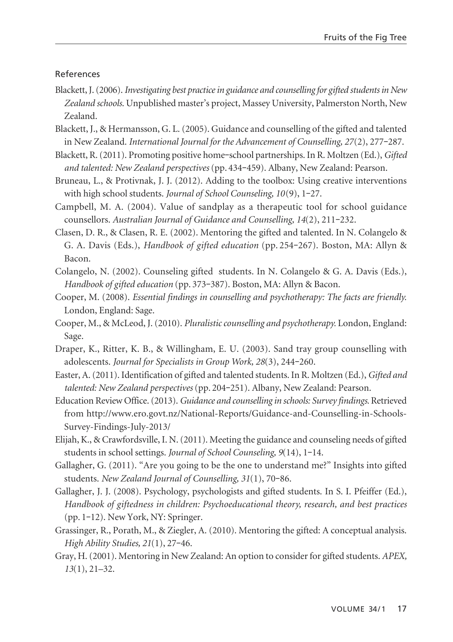#### References

- Blackett, J. (2006). *Investigating best practice in guidance and counselling for gifted students in New Zealand schools*. Unpublished master's project, Massey University, Palmerston North, New Zealand.
- Blackett, J., & Hermansson, G. L. (2005). Guidance and counselling of the gifted and talented in New Zealand. *International Journal for the Advancement of Counselling, 27(2), 277-287.*
- Blackett, R. (2011). Promoting positive home**‒**school partnerships. In R. Moltzen (Ed.), *Gifted and talented: New Zealand perspectives* (pp. 434**‒**459). Albany, New Zealand: Pearson.
- Bruneau, L., & Protivnak, J. J. (2012). Adding to the toolbox: Using creative interventions with high school students. *Journal of School Counseling, 10*(9), 1**‒**27.
- Campbell, M. A. (2004). Value of sandplay as a therapeutic tool for school guidance counsellors. *Australian Journal of Guidance and Counselling, 14*(2), 211**‒**232.
- Clasen, D. R., & Clasen, R. E. (2002). Mentoring the gifted and talented. In N. Colangelo & G. A. Davis (Eds.), *Handbook of gifted education* (pp. 254**‒**267). Boston, MA: Allyn & Bacon.
- Colangelo, N. (2002). Counseling gifted students. In N. Colangelo & G. A. Davis (Eds.), *Handbook of gifted education* (pp. 373**‒**387). Boston, MA: Allyn & Bacon.
- Cooper, M. (2008). *Essential findings in counselling and psychotherapy: The facts are friendly.* London, England: Sage.
- Cooper, M., & McLeod, J. (2010). *Pluralistic counselling and psychotherapy.* London, England: Sage.
- Draper, K., Ritter, K. B., & Willingham, E. U. (2003). Sand tray group counselling with adolescents. *Journal for Specialists in Group Work, 28*(3), 244**‒**260.
- Easter, A. (2011). Identification of gifted and talented students. In R. Moltzen (Ed.), *Gifted and talented: New Zealand perspectives* (pp. 204**‒**251). Albany, New Zealand: Pearson.
- Education Review Office. (2013). *Guidance and counselling in schools: Survey findings.* Retrieved from http://www.ero.govt.nz/National-Reports/Guidance-and-Counselling-in-Schools-Survey-Findings-July-2013/
- Elijah, K., & Crawfordsville, I. N. (2011). Meeting the guidance and counseling needs of gifted students in school settings. *Journal of School Counseling, 9*(14), 1**‒**14.
- Gallagher, G. (2011). "Are you going to be the one to understand me?" Insights into gifted students. *New Zealand Journal of Counselling, 31*(1), 70**‒**86.
- Gallagher, J. J. (2008). Psychology, psychologists and gifted students. In S. I. Pfeiffer (Ed.), *Handbook of giftedness in children: Psychoeducational theory, research, and best practices* (pp. 1**‒**12). New York, NY: Springer.
- Grassinger, R., Porath, M., & Ziegler, A. (2010). Mentoring the gifted: A conceptual analysis. *High Ability Studies, 21*(1), 27**‒**46.
- Gray, H. (2001). Mentoring in New Zealand: An option to consider for gifted students. *APEX, 13*(1), 21–32.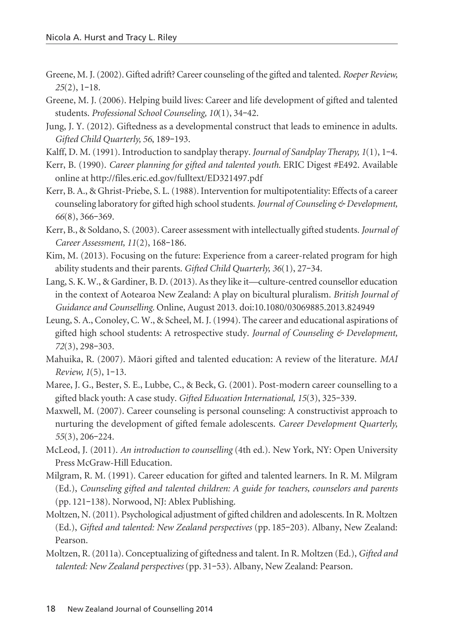- Greene, M. J. (2002). Gifted adrift? Career counseling of the gifted and talented. *Roeper Review, 25*(2), 1**‒**18.
- Greene, M. J. (2006). Helping build lives: Career and life development of gifted and talented students. *Professional School Counseling, 10*(1), 34**‒**42.
- Jung, J. Y. (2012). Giftedness as a developmental construct that leads to eminence in adults. *Gifted Child Quarterly, 56*, 189**‒**193.
- Kalff, D. M. (1991). Introduction to sandplay therapy. *Journal of Sandplay Therapy, 1*(1), 1**‒**4.
- Kerr, B. (1990). *Career planning for gifted and talented youth.* ERIC Digest #E492. Available online at http://files.eric.ed.gov/fulltext/ED321497.pdf
- Kerr, B. A., & Ghrist-Priebe, S. L. (1988). Intervention for multipotentiality: Effects of a career counseling laboratory for gifted high school students. *Journal of Counseling & Development, 66*(8), 366**‒**369.
- Kerr, B., & Soldano, S. (2003). Career assessment with intellectually gifted students*. Journal of Career Assessment, 11*(2), 168**‒**186.
- Kim, M. (2013). Focusing on the future: Experience from a career-related program for high ability students and their parents. *Gifted Child Quarterly, 36*(1), 27**‒**34.
- Lang, S. K. W., & Gardiner, B. D. (2013). As they like it—culture-centred counsellor education in the context of Aotearoa New Zealand: A play on bicultural pluralism. *British Journal of Guidance and Counselling.* Online, August 2013. doi:10.1080/03069885.2013.824949
- Leung, S. A., Conoley, C. W., & Scheel, M. J. (1994). The career and educational aspirations of gifted high school students: A retrospective study. *Journal of Counseling & Development, 72*(3), 298**‒**303.
- Mahuika, R. (2007). Mäori gifted and talented education: A review of the literature. *MAI Review, 1*(5), 1**‒**13.
- Maree, J. G., Bester, S. E., Lubbe, C., & Beck, G. (2001). Post-modern career counselling to a gifted black youth: A case study. *Gifted Education International, 15*(3), 325**‒**339.
- Maxwell, M. (2007). Career counseling is personal counseling: A constructivist approach to nurturing the development of gifted female adolescents. *Career Development Quarterly, 55*(3), 206**‒**224.
- McLeod, J. (2011). *An introduction to counselling* (4th ed.). New York, NY: Open University Press McGraw-Hill Education.
- Milgram, R. M. (1991). Career education for gifted and talented learners. In R. M. Milgram (Ed.), *Counseling gifted and talented children: A guide for teachers, counselors and parents* (pp. 121**‒**138). Norwood, NJ: Ablex Publishing.
- Moltzen, N. (2011). Psychological adjustment of gifted children and adolescents. In R. Moltzen (Ed.), *Gifted and talented: New Zealand perspectives* (pp. 185**‒**203). Albany, New Zealand: Pearson.
- Moltzen, R. (2011a). Conceptualizing of giftedness and talent. In R. Moltzen (Ed.), *Gifted and talented: New Zealand perspectives* (pp. 31**‒**53). Albany, New Zealand: Pearson.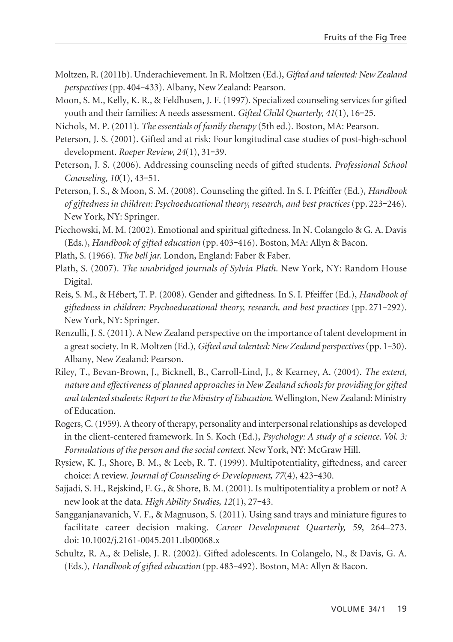- Moltzen, R. (2011b). Underachievement. In R. Moltzen (Ed.), *Gifted and talented: New Zealand perspectives* (pp. 404**‒**433). Albany, New Zealand: Pearson.
- Moon, S. M., Kelly, K. R., & Feldhusen, J. F. (1997). Specialized counseling services for gifted youth and their families: A needs assessment. *Gifted Child Quarterly, 41*(1), 16**‒**25.
- Nichols, M. P. (2011). *The essentials of family therapy* (5th ed.). Boston, MA: Pearson.
- Peterson, J. S. (2001). Gifted and at risk: Four longitudinal case studies of post-high-school development. *Roeper Review, 24*(1), 31**‒**39.
- Peterson, J. S. (2006). Addressing counseling needs of gifted students. *Professional School Counseling*, *10*(1), 43**‒**51.
- Peterson, J. S., & Moon, S. M. (2008). Counseling the gifted. In S. I. Pfeiffer (Ed.), *Handbook of giftedness in children: Psychoeducational theory, research, and best practices (pp. 223-246).* New York, NY: Springer.
- Piechowski, M. M. (2002). Emotional and spiritual giftedness. In N. Colangelo & G. A. Davis (Eds.), *Handbook of gifted education* (pp. 403**‒**416). Boston, MA: Allyn & Bacon.
- Plath, S. (1966). *The bell jar.* London, England: Faber & Faber.
- Plath, S. (2007). *The unabridged journals of Sylvia Plath*. New York, NY: Random House Digital.
- Reis, S. M., & Hébert, T. P. (2008). Gender and giftedness. In S. I. Pfeiffer (Ed.), *Handbook of giftedness in children: Psychoeducational theory, research, and best practices* (pp. 271**‒**292). New York, NY: Springer.
- Renzulli, J. S. (2011). A New Zealand perspective on the importance of talent development in a great society. In R. Moltzen (Ed.), *Gifted and talented: New Zealand perspectives* (pp. 1**‒**30). Albany, New Zealand: Pearson.
- Riley, T., Bevan-Brown, J., Bicknell, B., Carroll-Lind, J., & Kearney, A. (2004). *The extent, nature and effectiveness of planned approaches in New Zealand schools for providing for gifted and talented students: Report to the Ministry of Education*. Wellington, New Zealand: Ministry of Education.
- Rogers, C. (1959). A theory of therapy, personality and interpersonal relationships as developed in the client-centered framework. In S. Koch (Ed.), *Psychology: A study of a science. Vol. 3: Formulations of the person and the social context.* New York, NY: McGraw Hill.
- Rysiew, K. J., Shore, B. M., & Leeb, R. T. (1999). Multipotentiality, giftedness, and career choice: A review*. Journal of Counseling & Development, 77*(4), 423**‒**430.
- Sajjadi, S. H., Rejskind, F. G., & Shore, B. M. (2001). Is multipotentiality a problem or not? A new look at the data. *High Ability Studies, 12*(1), 27**‒**43.
- Sangganjanavanich, V. F., & Magnuson, S. (2011). Using sand trays and miniature figures to facilitate career decision making. *Career Development Quarterly, 59*, 264–273. doi: 10.1002/j.2161-0045.2011.tb00068.x
- Schultz, R. A., & Delisle, J. R. (2002). Gifted adolescents. In Colangelo, N., & Davis, G. A. (Eds.), *Handbook of gifted education* (pp. 483**‒**492). Boston, MA: Allyn & Bacon.